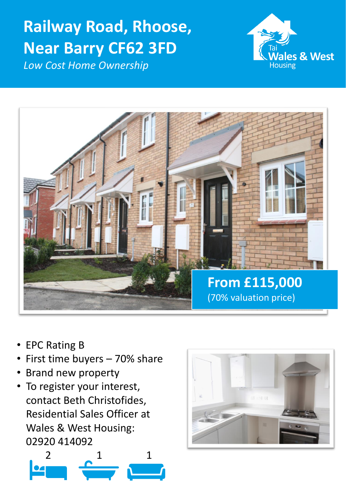# **Railway Road, Rhoose, Near Barry CF62 3FD**







- EPC Rating B
- First time buyers 70% share
- Brand new property
- To register your interest, contact Beth Christofides, Residential Sales Officer at Wales & West Housing: 02920 414092



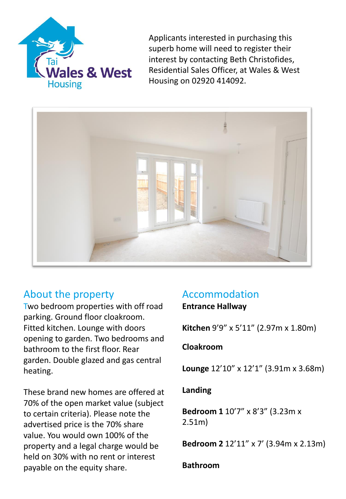

Applicants interested in purchasing this superb home will need to register their interest by contacting Beth Christofides, Residential Sales Officer, at Wales & West Housing on 02920 414092.



# About the property

Two bedroom properties with off road parking. Ground floor cloakroom. Fitted kitchen. Lounge with doors opening to garden. Two bedrooms and bathroom to the first floor. Rear garden. Double glazed and gas central heating.

These brand new homes are offered at 70% of the open market value (subject to certain criteria). Please note the advertised price is the 70% share value. You would own 100% of the property and a legal charge would be held on 30% with no rent or interest payable on the equity share.

# Accommodation

**Entrance Hallway** 

**Kitchen** 9'9" x 5'11" (2.97m x 1.80m)

## **Cloakroom**

**Lounge** 12'10" x 12'1" (3.91m x 3.68m)

## **Landing**

**Bedroom 1** 10'7" x 8'3" (3.23m x 2.51m)

**Bedroom 2** 12'11" x 7' (3.94m x 2.13m)

## **Bathroom**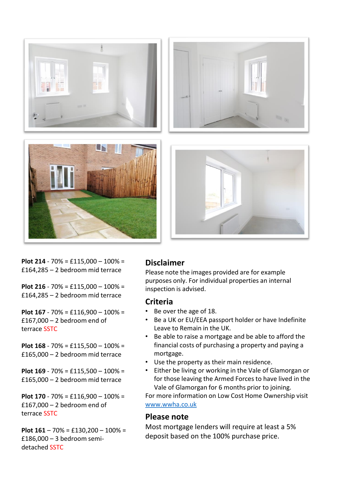

**Plot 214** - 70% = £115,000 – 100% = £164,285 – 2 bedroom mid terrace

**Plot 216** - 70% = £115,000 – 100% = £164,285 – 2 bedroom mid terrace

**Plot 167** - 70% = £116,900 – 100% = £167,000 – 2 bedroom end of terrace SSTC

**Plot 168** - 70% = £115,500 – 100% = £165,000 – 2 bedroom mid terrace

**Plot 169** - 70% = £115,500 – 100% = £165,000 – 2 bedroom mid terrace

**Plot 170** - 70% = £116,900 – 100% = £167,000 – 2 bedroom end of terrace SSTC

**Plot 161** – 70% = £130,200 – 100% = £186,000 – 3 bedroom semidetached SSTC

#### **Disclaimer**

Please note the images provided are for example purposes only. For individual properties an internal inspection is advised.

#### **Criteria**

- Be over the age of 18.
- Be a UK or EU/EEA passport holder or have Indefinite Leave to Remain in the UK.
- Be able to raise a mortgage and be able to afford the financial costs of purchasing a property and paying a mortgage.
- Use the property as their main residence.
- Either be living or working in the Vale of Glamorgan or for those leaving the Armed Forces to have lived in the Vale of Glamorgan for 6 months prior to joining.

For more information on Low Cost Home Ownership visit [www.wwha.co.uk](http://www.wwha.co.uk/)

#### **Please note**

Most mortgage lenders will require at least a 5% deposit based on the 100% purchase price.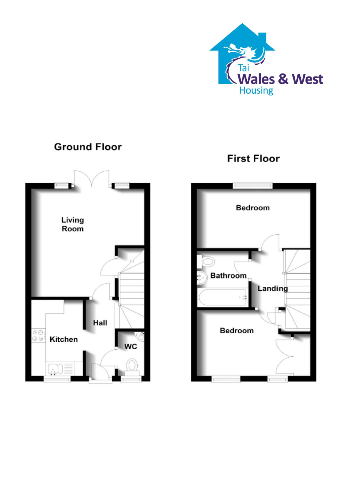

## **Ground Floor**



**First Floor**